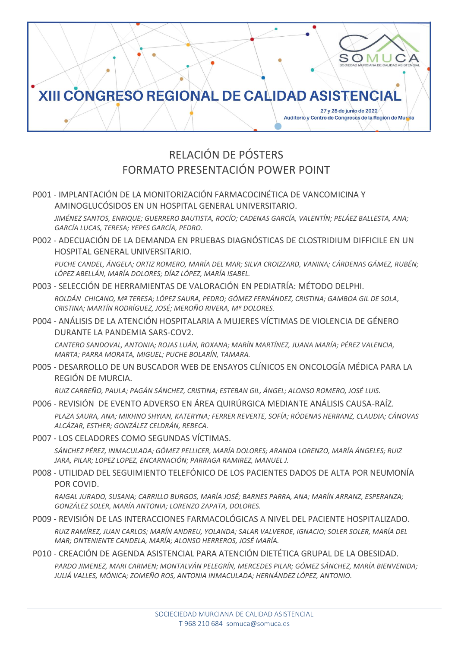

# RELACIÓN DE PÓSTERS FORMATO PRESENTACIÓN POWER POINT

P001 - IMPLANTACIÓN DE LA MONITORIZACIÓN FARMACOCINÉTICA DE VANCOMICINA Y AMINOGLUCÓSIDOS EN UN HOSPITAL GENERAL UNIVERSITARIO.

*JIMÉNEZ SANTOS, ENRIQUE; GUERRERO BAUTISTA, ROCÍO; CADENAS GARCÍA, VALENTÍN; PELÁEZ BALLESTA, ANA; GARCÍA LUCAS, TERESA; YEPES GARCÍA, PEDRO.*

P002 - ADECUACIÓN DE LA DEMANDA EN PRUEBAS DIAGNÓSTICAS DE CLOSTRIDIUM DIFFICILE EN UN HOSPITAL GENERAL UNIVERSITARIO.

*PUCHE CANDEL, ÁNGELA; ORTIZ ROMERO, MARÍA DEL MAR; SILVA CROIZZARD, VANINA; CÁRDENAS GÁMEZ, RUBÉN; LÓPEZ ABELLÁN, MARÍA DOLORES; DÍAZ LÓPEZ, MARÍA ISABEL.*

#### P003 - SELECCIÓN DE HERRAMIENTAS DE VALORACIÓN EN PEDIATRÍA: MÉTODO DELPHI.

*ROLDÁN CHICANO, Mª TERESA; LÓPEZ SAURA, PEDRO; GÓMEZ FERNÁNDEZ, CRISTINA; GAMBOA GIL DE SOLA, CRISTINA; MARTÍN RODRÍGUEZ, JOSÉ; MEROÑO RIVERA, Mª DOLORES.*

P004 - ANÁLISIS DE LA ATENCIÓN HOSPITALARIA A MUJERES VÍCTIMAS DE VIOLENCIA DE GÉNERO DURANTE LA PANDEMIA SARS-COV2.

*CANTERO SANDOVAL, ANTONIA; ROJAS LUÁN, ROXANA; MARÍN MARTÍNEZ, JUANA MARÍA; PÉREZ VALENCIA, MARTA; PARRA MORATA, MIGUEL; PUCHE BOLARÍN, TAMARA.*

### P005 - DESARROLLO DE UN BUSCADOR WEB DE ENSAYOS CLÍNICOS EN ONCOLOGÍA MÉDICA PARA LA REGIÓN DE MURCIA.

*RUIZ CARREÑO, PAULA; PAGÁN SÁNCHEZ, CRISTINA; ESTEBAN GIL, ÁNGEL; ALONSO ROMERO, JOSÉ LUIS.*

P006 - REVISIÓN DE EVENTO ADVERSO EN ÁREA QUIRÚRGICA MEDIANTE ANÁLISIS CAUSA-RAÍZ.

*PLAZA SAURA, ANA; MIKHNO SHYIAN, KATERYNA; FERRER REVERTE, SOFÍA; RÓDENAS HERRANZ, CLAUDIA; CÁNOVAS ALCÁZAR, ESTHER; GONZÁLEZ CELDRÁN, REBECA.*

P007 - LOS CELADORES COMO SEGUNDAS VÍCTIMAS.

*SÁNCHEZ PÉREZ, INMACULADA; GÓMEZ PELLICER, MARÍA DOLORES; ARANDA LORENZO, MARÍA ÁNGELES; RUIZ JARA, PILAR; LOPEZ LOPEZ, ENCARNACIÓN; PARRAGA RAMIREZ, MANUEL J.*

#### P008 - UTILIDAD DEL SEGUIMIENTO TELEFÓNICO DE LOS PACIENTES DADOS DE ALTA POR NEUMONÍA POR COVID.

*RAIGAL JURADO, SUSANA; CARRILLO BURGOS, MARÍA JOSÉ; BARNES PARRA, ANA; MARÍN ARRANZ, ESPERANZA; GONZÁLEZ SOLER, MARÍA ANTONIA; LORENZO ZAPATA, DOLORES.*

#### P009 - REVISIÓN DE LAS INTERACCIONES FARMACOLÓGICAS A NIVEL DEL PACIENTE HOSPITALIZADO.

*RUIZ RAMÍREZ, JUAN CARLOS; MARÍN ANDREU, YOLANDA; SALAR VALVERDE, IGNACIO; SOLER SOLER, MARÍA DEL MAR; ONTENIENTE CANDELA, MARÍA; ALONSO HERREROS, JOSÉ MARÍA.*

#### P010 - CREACIÓN DE AGENDA ASISTENCIAL PARA ATENCIÓN DIETÉTICA GRUPAL DE LA OBESIDAD.

*PARDO JIMENEZ, MARI CARMEN; MONTALVÁN PELEGRÍN, MERCEDES PILAR; GÓMEZ SÁNCHEZ, MARÍA BIENVENIDA; JULIÁ VALLES, MÓNICA; ZOMEÑO ROS, ANTONIA INMACULADA; HERNÁNDEZ LÓPEZ, ANTONIO.*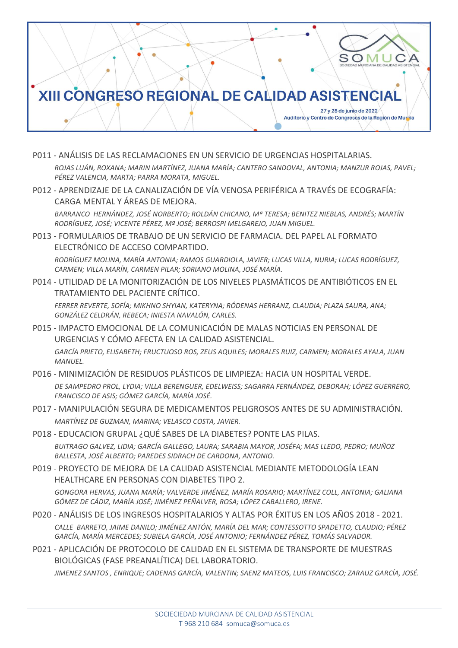

- P011 ANÁLISIS DE LAS RECLAMACIONES EN UN SERVICIO DE URGENCIAS HOSPITALARIAS. *ROJAS LUÁN, ROXANA; MARIN MARTÍNEZ, JUANA MARÍA; CANTERO SANDOVAL, ANTONIA; MANZUR ROJAS, PAVEL; PÉREZ VALENCIA, MARTA; PARRA MORATA, MIGUEL.*
- P012 APRENDIZAJE DE LA CANALIZACIÓN DE VÍA VENOSA PERIFÉRICA A TRAVÉS DE ECOGRAFÍA: CARGA MENTAL Y ÁREAS DE MEJORA.

*BARRANCO HERNÁNDEZ, JOSÉ NORBERTO; ROLDÁN CHICANO, Mª TERESA; BENITEZ NIEBLAS, ANDRÉS; MARTÍN RODRÍGUEZ, JOSÉ; VICENTE PÉREZ, Mª JOSÉ; BERROSPI MELGAREJO, JUAN MIGUEL.*

P013 - FORMULARIOS DE TRABAJO DE UN SERVICIO DE FARMACIA. DEL PAPEL AL FORMATO ELECTRÓNICO DE ACCESO COMPARTIDO.

*RODRÍGUEZ MOLINA, MARÍA ANTONIA; RAMOS GUARDIOLA, JAVIER; LUCAS VILLA, NURIA; LUCAS RODRÍGUEZ, CARMEN; VILLA MARÍN, CARMEN PILAR; SORIANO MOLINA, JOSÉ MARÍA.*

P014 - UTILIDAD DE LA MONITORIZACIÓN DE LOS NIVELES PLASMÁTICOS DE ANTIBIÓTICOS EN EL TRATAMIENTO DEL PACIENTE CRÍTICO.

*FERRER REVERTE, SOFÍA; MIKHNO SHYIAN, KATERYNA; RÓDENAS HERRANZ, CLAUDIA; PLAZA SAURA, ANA; GONZÁLEZ CELDRÁN, REBECA; INIESTA NAVALÓN, CARLES.*

- P015 IMPACTO EMOCIONAL DE LA COMUNICACIÓN DE MALAS NOTICIAS EN PERSONAL DE URGENCIAS Y CÓMO AFECTA EN LA CALIDAD ASISTENCIAL. *GARCÍA PRIETO, ELISABETH; FRUCTUOSO ROS, ZEUS AQUILES; MORALES RUIZ, CARMEN; MORALES AYALA, JUAN MANUEL.*
- P016 MINIMIZACIÓN DE RESIDUOS PLÁSTICOS DE LIMPIEZA: HACIA UN HOSPITAL VERDE. *DE SAMPEDRO PROL, LYDIA; VILLA BERENGUER, EDELWEISS; SAGARRA FERNÁNDEZ, DEBORAH; LÓPEZ GUERRERO, FRANCISCO DE ASIS; GÓMEZ GARCÍA, MARÍA JOSÉ.*
- P017 MANIPULACIÓN SEGURA DE MEDICAMENTOS PELIGROSOS ANTES DE SU ADMINISTRACIÓN. *MARTÍNEZ DE GUZMAN, MARINA; VELASCO COSTA, JAVIER.*
- P018 EDUCACION GRUPAL ¿QUÉ SABES DE LA DIABETES? PONTE LAS PILAS. *BUITRAGO GALVEZ, LIDIA; GARCÍA GALLEGO, LAURA; SARABIA MAYOR, JOSÉFA; MAS LLEDO, PEDRO; MUÑOZ BALLESTA, JOSÉ ALBERTO; PAREDES SIDRACH DE CARDONA, ANTONIO.*
- P019 PROYECTO DE MEJORA DE LA CALIDAD ASISTENCIAL MEDIANTE METODOLOGÍA LEAN HEALTHCARE EN PERSONAS CON DIABETES TIPO 2.

*GONGORA HERVAS, JUANA MARÍA; VALVERDE JIMÉNEZ, MARÍA ROSARIO; MARTÍNEZ COLL, ANTONIA; GALIANA GÓMEZ DE CÁDIZ, MARÍA JOSÉ; JIMÉNEZ PEÑALVER, ROSA; LÓPEZ CABALLERO, IRENE.*

- P020 ANÁLISIS DE LOS INGRESOS HOSPITALARIOS Y ALTAS POR ÉXITUS EN LOS AÑOS 2018 2021. *CALLE BARRETO, JAIME DANILO; JIMÉNEZ ANTÓN, MARÍA DEL MAR; CONTESSOTTO SPADETTO, CLAUDIO; PÉREZ GARCÍA, MARÍA MERCEDES; SUBIELA GARCÍA, JOSÉ ANTONIO; FERNÁNDEZ PÉREZ, TOMÁS SALVADOR.*
- P021 APLICACIÓN DE PROTOCOLO DE CALIDAD EN EL SISTEMA DE TRANSPORTE DE MUESTRAS BIOLÓGICAS (FASE PREANALÍTICA) DEL LABORATORIO.

*JIMENEZ SANTOS , ENRIQUE; CADENAS GARCÍA, VALENTIN; SAENZ MATEOS, LUIS FRANCISCO; ZARAUZ GARCÍA, JOSÉ.*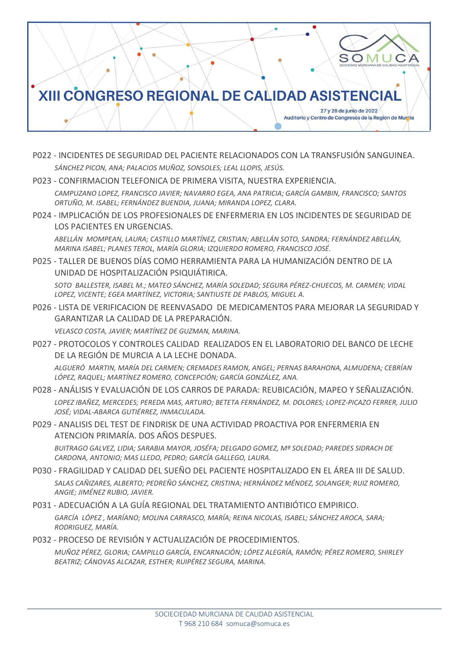

- P022 INCIDENTES DE SEGURIDAD DEL PACIENTE RELACIONADOS CON LA TRANSFUSIÓN SANGUINEA. *SÁNCHEZ PICON, ANA; PALACIOS MUÑOZ, SONSOLES; LEAL LLOPIS, JESÚS.*
- P023 CONFIRMACION TELEFONICA DE PRIMERA VISITA, NUESTRA EXPERIENCIA.

*CAMPUZANO LOPEZ, FRANCISCO JAVIER; NAVARRO EGEA, ANA PATRICIA; GARCÍA GAMBIN, FRANCISCO; SANTOS ORTUÑO, M. ISABEL; FERNÁNDEZ BUENDIA, JUANA; MIRANDA LOPEZ, CLARA.*

P024 - IMPLICACIÓN DE LOS PROFESIONALES DE ENFERMERIA EN LOS INCIDENTES DE SEGURIDAD DE LOS PACIENTES EN URGENCIAS.

*ABELLÁN MOMPEAN, LAURA; CASTILLO MARTÍNEZ, CRISTIAN; ABELLÁN SOTO, SANDRA; FERNÁNDEZ ABELLÁN, MARINA ISABEL; PLANES TEROL, MARÍA GLORIA; IZQUIERDO ROMERO, FRANCISCO JOSÉ.*

P025 - TALLER DE BUENOS DÍAS COMO HERRAMIENTA PARA LA HUMANIZACIÓN DENTRO DE LA UNIDAD DE HOSPITALIZACIÓN PSIQUIÁTIRICA.

*SOTO BALLESTER, ISABEL M.; MATEO SÁNCHEZ, MARÍA SOLEDAD; SEGURA PÉREZ-CHUECOS, M. CARMEN; VIDAL LOPEZ, VICENTE; EGEA MARTÍNEZ, VICTORIA; SANTIUSTE DE PABLOS, MIGUEL A.*

P026 - LISTA DE VERIFICACION DE REENVASADO DE MEDICAMENTOS PARA MEJORAR LA SEGURIDAD Y GARANTIZAR LA CALIDAD DE LA PREPARACIÓN.

*VELASCO COSTA, JAVIER; MARTÍNEZ DE GUZMAN, MARINA.*

P027 - PROTOCOLOS Y CONTROLES CALIDAD REALIZADOS EN EL LABORATORIO DEL BANCO DE LECHE DE LA REGIÓN DE MURCIA A LA LECHE DONADA.

*ALGUERÓ MARTIN, MARÍA DEL CARMEN; CREMADES RAMON, ANGEL; PERNAS BARAHONA, ALMUDENA; CEBRÍAN LÓPEZ, RAQUEL; MARTÍNEZ ROMERO, CONCEPCIÓN; GARCÍA GONZÁLEZ, ANA.*

P028 - ANÁLISIS Y EVALUACIÓN DE LOS CARROS DE PARADA: REUBICACIÓN, MAPEO Y SEÑALIZACIÓN. *LOPEZ IBAÑEZ, MERCEDES; PEREDA MAS, ARTURO; BETETA FERNÁNDEZ, M. DOLORES; LOPEZ-PICAZO FERRER, JULIO JOSÉ; VIDAL-ABARCA GUTIÉRREZ, INMACULADA.*

P029 - ANALISIS DEL TEST DE FINDRISK DE UNA ACTIVIDAD PROACTIVA POR ENFERMERIA EN ATENCION PRIMARÍA. DOS AÑOS DESPUES.

*BUITRAGO GALVEZ, LIDIA; SARABIA MAYOR, JOSÉFA; DELGADO GOMEZ, Mª SOLEDAD; PAREDES SIDRACH DE CARDONA, ANTONIO; MAS LLEDO, PEDRO; GARCÍA GALLEGO, LAURA.*

- P030 FRAGILIDAD Y CALIDAD DEL SUEÑO DEL PACIENTE HOSPITALIZADO EN EL ÁREA III DE SALUD. *SALAS CAÑIZARES, ALBERTO; PEDREÑO SÁNCHEZ, CRISTINA; HERNÁNDEZ MÉNDEZ, SOLANGER; RUIZ ROMERO, ANGIE; JIMÉNEZ RUBIO, JAVIER.*
- P031 ADECUACIÓN A LA GUÍA REGIONAL DEL TRATAMIENTO ANTIBIÓTICO EMPIRICO. *GARCÍA LÓPEZ , MARÍANO; MOLINA CARRASCO, MARÍA; REINA NICOLAS, ISABEL; SÁNCHEZ AROCA, SARA; RODRIGUEZ, MARÍA.*
- P032 PROCESO DE REVISIÓN Y ACTUALIZACIÓN DE PROCEDIMIENTOS.

*MUÑOZ PÉREZ, GLORIA; CAMPILLO GARCÍA, ENCARNACIÓN; LÓPEZ ALEGRÍA, RAMÓN; PÉREZ ROMERO, SHIRLEY BEATRIZ; CÁNOVAS ALCAZAR, ESTHER; RUIPÉREZ SEGURA, MARINA.*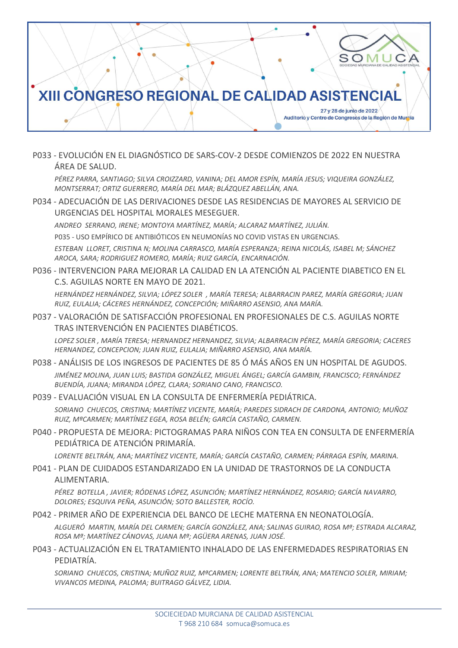

P033 - EVOLUCIÓN EN EL DIAGNÓSTICO DE SARS-COV-2 DESDE COMIENZOS DE 2022 EN NUESTRA ÁREA DE SALUD.

*PÉREZ PARRA, SANTIAGO; SILVA CROIZZARD, VANINA; DEL AMOR ESPÍN, MARÍA JESUS; VIQUEIRA GONZÁLEZ, MONTSERRAT; ORTIZ GUERRERO, MARÍA DEL MAR; BLÁZQUEZ ABELLÁN, ANA.*

P034 - ADECUACIÓN DE LAS DERIVACIONES DESDE LAS RESIDENCIAS DE MAYORES AL SERVICIO DE URGENCIAS DEL HOSPITAL MORALES MESEGUER.

*ANDREO SERRANO, IRENE; MONTOYA MARTÍNEZ, MARÍA; ALCARAZ MARTÍNEZ, JULIÁN.*

P035 - USO EMPÍRICO DE ANTIBIÓTICOS EN NEUMONÍAS NO COVID VISTAS EN URGENCIAS.

*ESTEBAN LLORET, CRISTINA N; MOLINA CARRASCO, MARÍA ESPERANZA; REINA NICOLÁS, ISABEL M; SÁNCHEZ AROCA, SARA; RODRIGUEZ ROMERO, MARÍA; RUIZ GARCÍA, ENCARNACIÓN.*

P036 - INTERVENCION PARA MEJORAR LA CALIDAD EN LA ATENCIÓN AL PACIENTE DIABETICO EN EL C.S. AGUILAS NORTE EN MAYO DE 2021.

*HERNÁNDEZ HERNÁNDEZ, SILVIA; LÓPEZ SOLER , MARÍA TERESA; ALBARRACIN PAREZ, MARÍA GREGORIA; JUAN RUIZ, EULALIA; CÁCERES HERNÁNDEZ, CONCEPCIÓN; MIÑARRO ASENSIO, ANA MARÍA.*

P037 - VALORACIÓN DE SATISFACCIÓN PROFESIONAL EN PROFESIONALES DE C.S. AGUILAS NORTE TRAS INTERVENCIÓN EN PACIENTES DIABÉTICOS.

*LOPEZ SOLER , MARÍA TERESA; HERNANDEZ HERNANDEZ, SILVIA; ALBARRACIN PÉREZ, MARÍA GREGORIA; CACERES HERNANDEZ, CONCEPCION; JUAN RUIZ, EULALIA; MIÑARRO ASENSIO, ANA MARÍA.*

- P038 ANÁLISIS DE LOS INGRESOS DE PACIENTES DE 85 Ó MÁS AÑOS EN UN HOSPITAL DE AGUDOS. *JIMÉNEZ MOLINA, JUAN LUIS; BASTIDA GONZÁLEZ, MIGUEL ÁNGEL; GARCÍA GAMBIN, FRANCISCO; FERNÁNDEZ BUENDÍA, JUANA; MIRANDA LÓPEZ, CLARA; SORIANO CANO, FRANCISCO.*
- P039 EVALUACIÓN VISUAL EN LA CONSULTA DE ENFERMERÍA PEDIÁTRICA.

*SORIANO CHUECOS, CRISTINA; MARTÍNEZ VICENTE, MARÍA; PAREDES SIDRACH DE CARDONA, ANTONIO; MUÑOZ RUIZ, MªCARMEN; MARTÍNEZ EGEA, ROSA BELÉN; GARCÍA CASTAÑO, CARMEN.*

P040 - PROPUESTA DE MEJORA: PICTOGRAMAS PARA NIÑOS CON TEA EN CONSULTA DE ENFERMERÍA PEDIÁTRICA DE ATENCIÓN PRIMARÍA.

*LORENTE BELTRÁN, ANA; MARTÍNEZ VICENTE, MARÍA; GARCÍA CASTAÑO, CARMEN; PÁRRAGA ESPÍN, MARINA.*

P041 - PLAN DE CUIDADOS ESTANDARIZADO EN LA UNIDAD DE TRASTORNOS DE LA CONDUCTA ALIMENTARIA.

*PÉREZ BOTELLA , JAVIER; RÓDENAS LÓPEZ, ASUNCIÓN; MARTÍNEZ HERNÁNDEZ, ROSARIO; GARCÍA NAVARRO, DOLORES; ESQUIVA PEÑA, ASUNCIÓN; SOTO BALLESTER, ROCÍO.*

P042 - PRIMER AÑO DE EXPERIENCIA DEL BANCO DE LECHE MATERNA EN NEONATOLOGÍA.

*ALGUERÓ MARTIN, MARÍA DEL CARMEN; GARCÍA GONZÁLEZ, ANA; SALINAS GUIRAO, ROSA Mª; ESTRADA ALCARAZ, ROSA Mª; MARTÍNEZ CÁNOVAS, JUANA Mª; AGÜERA ARENAS, JUAN JOSÉ.*

P043 - ACTUALIZACIÓN EN EL TRATAMIENTO INHALADO DE LAS ENFERMEDADES RESPIRATORIAS EN PEDIATRÍA.

*SORIANO CHUECOS, CRISTINA; MUÑOZ RUIZ, MªCARMEN; LORENTE BELTRÁN, ANA; MATENCIO SOLER, MIRIAM; VIVANCOS MEDINA, PALOMA; BUITRAGO GÁLVEZ, LIDIA.*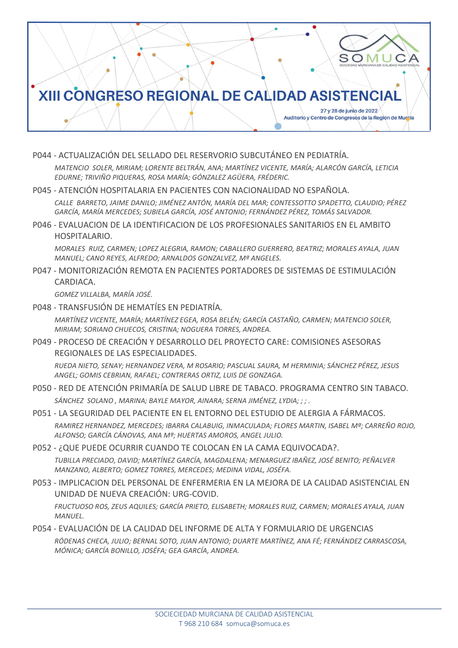

P044 - ACTUALIZACIÓN DEL SELLADO DEL RESERVORIO SUBCUTÁNEO EN PEDIATRÍA.

*MATENCIO SOLER, MIRIAM; LORENTE BELTRÁN, ANA; MARTÍNEZ VICENTE, MARÍA; ALARCÓN GARCÍA, LETICIA EDURNE; TRIVIÑO PIQUERAS, ROSA MARÍA; GÓNZALEZ AGÜERA, FRÉDERIC.*

P045 - ATENCIÓN HOSPITALARIA EN PACIENTES CON NACIONALIDAD NO ESPAÑOLA.

*CALLE BARRETO, JAIME DANILO; JIMÉNEZ ANTÓN, MARÍA DEL MAR; CONTESSOTTO SPADETTO, CLAUDIO; PÉREZ GARCÍA, MARÍA MERCEDES; SUBIELA GARCÍA, JOSÉ ANTONIO; FERNÁNDEZ PÉREZ, TOMÁS SALVADOR.*

P046 - EVALUACION DE LA IDENTIFICACION DE LOS PROFESIONALES SANITARIOS EN EL AMBITO HOSPITALARIO.

*MORALES RUIZ, CARMEN; LOPEZ ALEGRIA, RAMON; CABALLERO GUERRERO, BEATRIZ; MORALES AYALA, JUAN MANUEL; CANO REYES, ALFREDO; ARNALDOS GONZALVEZ, Mª ANGELES.*

P047 - MONITORIZACIÓN REMOTA EN PACIENTES PORTADORES DE SISTEMAS DE ESTIMULACIÓN CARDIACA.

*GOMEZ VILLALBA, MARÍA JOSÉ.*

P048 - TRANSFUSIÓN DE HEMATÍES EN PEDIATRÍA.

*MARTÍNEZ VICENTE, MARÍA; MARTÍNEZ EGEA, ROSA BELÉN; GARCÍA CASTAÑO, CARMEN; MATENCIO SOLER, MIRIAM; SORIANO CHUECOS, CRISTINA; NOGUERA TORRES, ANDREA.*

P049 - PROCESO DE CREACIÓN Y DESARROLLO DEL PROYECTO CARE: COMISIONES ASESORAS REGIONALES DE LAS ESPECIALIDADES.

*RUEDA NIETO, SENAY; HERNANDEZ VERA, M ROSARIO; PASCUAL SAURA, M HERMINIA; SÁNCHEZ PÉREZ, JESUS ANGEL; GOMIS CEBRIAN, RAFAEL; CONTRERAS ORTIZ, LUIS DE GONZAGA.*

- P050 RED DE ATENCIÓN PRIMARÍA DE SALUD LIBRE DE TABACO. PROGRAMA CENTRO SIN TABACO. *SÁNCHEZ SOLANO , MARINA; BAYLE MAYOR, AINARA; SERNA JIMÉNEZ, LYDIA; ; ; .*
- P051 LA SEGURIDAD DEL PACIENTE EN EL ENTORNO DEL ESTUDIO DE ALERGIA A FÁRMACOS. *RAMIREZ HERNANDEZ, MERCEDES; IBARRA CALABUIG, INMACULADA; FLORES MARTIN, ISABEL Mª; CARREÑO ROJO, ALFONSO; GARCÍA CÁNOVAS, ANA Mª; HUERTAS AMOROS, ANGEL JULIO.*
- P052 ¿QUE PUEDE OCURRIR CUANDO TE COLOCAN EN LA CAMA EQUIVOCADA?. *TUBILLA PRECIADO, DAVID; MARTÍNEZ GARCÍA, MAGDALENA; MENARGUEZ IBAÑEZ, JOSÉ BENITO; PEÑALVER MANZANO, ALBERTO; GOMEZ TORRES, MERCEDES; MEDINA VIDAL, JOSÉFA.*
- P053 IMPLICACION DEL PERSONAL DE ENFERMERIA EN LA MEJORA DE LA CALIDAD ASISTENCIAL EN UNIDAD DE NUEVA CREACIÓN: URG-COVID. *FRUCTUOSO ROS, ZEUS AQUILES; GARCÍA PRIETO, ELISABETH; MORALES RUIZ, CARMEN; MORALES AYALA, JUAN MANUEL.*
- P054 EVALUACIÓN DE LA CALIDAD DEL INFORME DE ALTA Y FORMULARIO DE URGENCIAS *RÓDENAS CHECA, JULIO; BERNAL SOTO, JUAN ANTONIO; DUARTE MARTÍNEZ, ANA FÉ; FERNÁNDEZ CARRASCOSA, MÓNICA; GARCÍA BONILLO, JOSÉFA; GEA GARCÍA, ANDREA.*